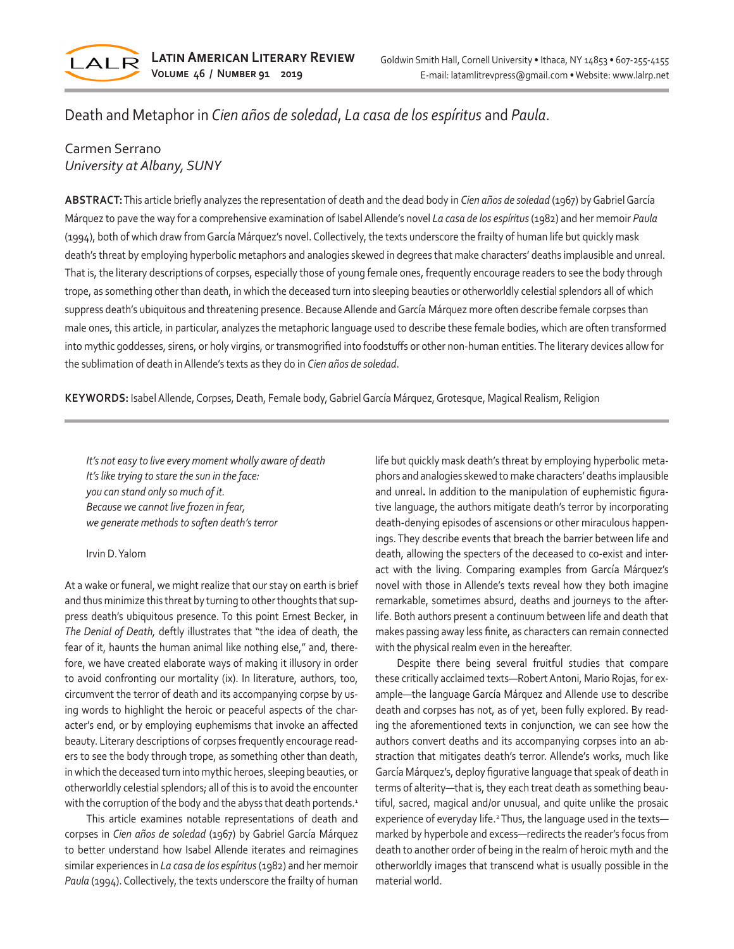

# Death and Metaphor in *Cien años de soledad*, *La casa de los espíritus* and *Paula*.

## Carmen Serrano *University at Albany, SUNY*

**ABSTRACT:** This article briefly analyzes the representation of death and the dead body in *Cien años de soledad* (1967) by Gabriel García Márquez to pave the way for a comprehensive examination of Isabel Allende's novel *La casa de los espíritus* (1982) and her memoir *Paula* (1994), both of which draw from García Márquez's novel. Collectively, the texts underscore the frailty of human life but quickly mask death's threat by employing hyperbolic metaphors and analogies skewed in degrees that make characters' deaths implausible and unreal. That is, the literary descriptions of corpses, especially those of young female ones, frequently encourage readers to see the body through trope, as something other than death, in which the deceased turn into sleeping beauties or otherworldly celestial splendors all of which suppress death's ubiquitous and threatening presence. Because Allende and García Márquez more often describe female corpses than male ones, this article, in particular, analyzes the metaphoric language used to describe these female bodies, which are often transformed into mythic goddesses, sirens, or holy virgins, or transmogrified into foodstuffs or other non-human entities. The literary devices allow for the sublimation of death in Allende's texts as they do in *Cien años de soledad*.

**KEYWORDS:** Isabel Allende, Corpses, Death, Female body, Gabriel García Márquez, Grotesque, Magical Realism, Religion

*It's not easy to live every moment wholly aware of death It's like trying to stare the sun in the face: you can stand only so much of it. Because we cannot live frozen in fear, we generate methods to soften death's terror* 

#### Irvin D. Yalom

At a wake or funeral, we might realize that our stay on earth is brief and thus minimize this threat by turning to other thoughts that suppress death's ubiquitous presence. To this point Ernest Becker, in *The Denial of Death,* deftly illustrates that "the idea of death, the fear of it, haunts the human animal like nothing else," and, therefore, we have created elaborate ways of making it illusory in order to avoid confronting our mortality (ix). In literature, authors, too, circumvent the terror of death and its accompanying corpse by using words to highlight the heroic or peaceful aspects of the character's end, or by employing euphemisms that invoke an affected beauty. Literary descriptions of corpses frequently encourage readers to see the body through trope, as something other than death, in which the deceased turn into mythic heroes, sleeping beauties, or otherworldly celestial splendors; all of this is to avoid the encounter with the corruption of the body and the abyss that death portends.<sup>1</sup>

This article examines notable representations of death and corpses in *Cien años de soledad* (1967) by Gabriel García Márquez to better understand how Isabel Allende iterates and reimagines similar experiences in *La casa de los espíritus* (1982) and her memoir *Paula* (1994). Collectively, the texts underscore the frailty of human life but quickly mask death's threat by employing hyperbolic metaphors and analogies skewed to make characters' deaths implausible and unreal**.** In addition to the manipulation of euphemistic figurative language, the authors mitigate death's terror by incorporating death-denying episodes of ascensions or other miraculous happenings. They describe events that breach the barrier between life and death, allowing the specters of the deceased to co-exist and interact with the living. Comparing examples from García Márquez's novel with those in Allende's texts reveal how they both imagine remarkable, sometimes absurd, deaths and journeys to the afterlife. Both authors present a continuum between life and death that makes passing away less finite, as characters can remain connected with the physical realm even in the hereafter.

Despite there being several fruitful studies that compare these critically acclaimed texts—Robert Antoni, Mario Rojas, for example—the language García Márquez and Allende use to describe death and corpses has not, as of yet, been fully explored. By reading the aforementioned texts in conjunction, we can see how the authors convert deaths and its accompanying corpses into an abstraction that mitigates death's terror. Allende's works, much like García Márquez's, deploy figurative language that speak of death in terms of alterity—that is, they each treat death as something beautiful, sacred, magical and/or unusual, and quite unlike the prosaic experience of everyday life.<sup>2</sup> Thus, the language used in the textsmarked by hyperbole and excess—redirects the reader's focus from death to another order of being in the realm of heroic myth and the otherworldly images that transcend what is usually possible in the material world.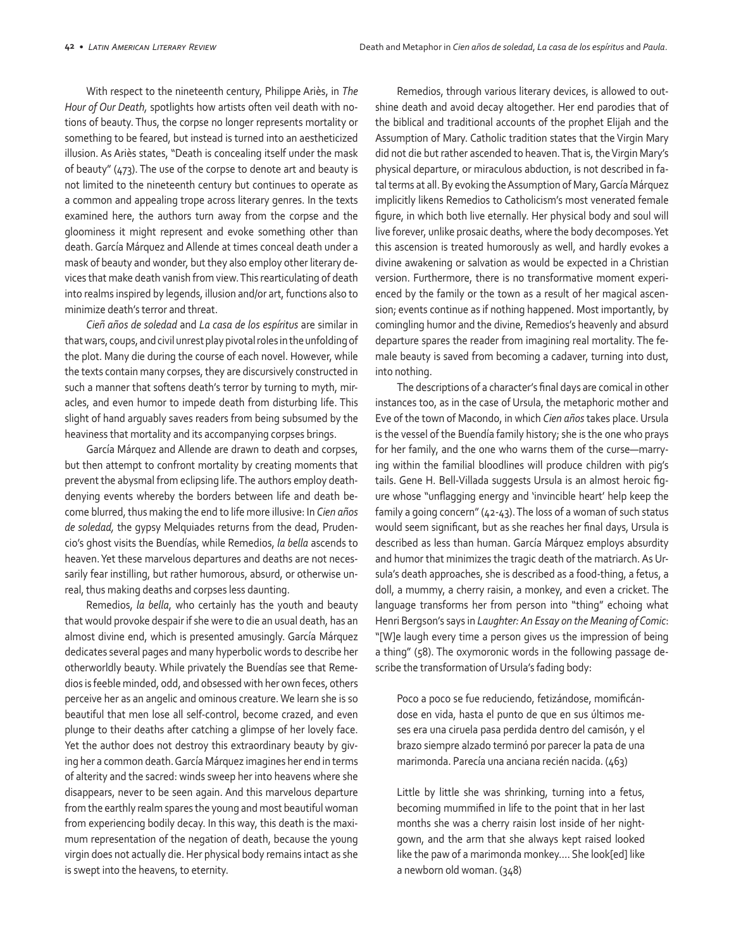With respect to the nineteenth century, Philippe Ariès, in *The Hour of Our Death,* spotlights how artists often veil death with notions of beauty. Thus, the corpse no longer represents mortality or something to be feared, but instead is turned into an aestheticized illusion. As Ariès states, "Death is concealing itself under the mask of beauty" (473). The use of the corpse to denote art and beauty is not limited to the nineteenth century but continues to operate as a common and appealing trope across literary genres. In the texts examined here, the authors turn away from the corpse and the gloominess it might represent and evoke something other than death. García Márquez and Allende at times conceal death under a mask of beauty and wonder, but they also employ other literary devices that make death vanish from view. This rearticulating of death into realms inspired by legends, illusion and/or art, functions also to minimize death's terror and threat.

*Cieñ años de soledad* and *La casa de los espíritus* are similar in that wars, coups, and civil unrest play pivotal roles in the unfolding of the plot. Many die during the course of each novel. However, while the texts contain many corpses, they are discursively constructed in such a manner that softens death's terror by turning to myth, miracles, and even humor to impede death from disturbing life. This slight of hand arguably saves readers from being subsumed by the heaviness that mortality and its accompanying corpses brings.

García Márquez and Allende are drawn to death and corpses, but then attempt to confront mortality by creating moments that prevent the abysmal from eclipsing life. The authors employ deathdenying events whereby the borders between life and death become blurred, thus making the end to life more illusive: In *Cien años de soledad,* the gypsy Melquiades returns from the dead, Prudencio's ghost visits the Buendías, while Remedios, *la bella* ascends to heaven. Yet these marvelous departures and deaths are not necessarily fear instilling, but rather humorous, absurd, or otherwise unreal, thus making deaths and corpses less daunting.

Remedios, *la bella*, who certainly has the youth and beauty that would provoke despair if she were to die an usual death, has an almost divine end, which is presented amusingly. García Márquez dedicates several pages and many hyperbolic words to describe her otherworldly beauty. While privately the Buendías see that Remedios is feeble minded, odd, and obsessed with her own feces, others perceive her as an angelic and ominous creature. We learn she is so beautiful that men lose all self-control, become crazed, and even plunge to their deaths after catching a glimpse of her lovely face. Yet the author does not destroy this extraordinary beauty by giving her a common death. García Márquez imagines her end in terms of alterity and the sacred: winds sweep her into heavens where she disappears, never to be seen again. And this marvelous departure from the earthly realm spares the young and most beautiful woman from experiencing bodily decay. In this way, this death is the maximum representation of the negation of death, because the young virgin does not actually die. Her physical body remains intact as she is swept into the heavens, to eternity.

Remedios, through various literary devices, is allowed to outshine death and avoid decay altogether. Her end parodies that of the biblical and traditional accounts of the prophet Elijah and the Assumption of Mary. Catholic tradition states that the Virgin Mary did not die but rather ascended to heaven. That is, the Virgin Mary's physical departure, or miraculous abduction, is not described in fatal terms at all. By evoking the Assumption of Mary, García Márquez implicitly likens Remedios to Catholicism's most venerated female figure, in which both live eternally. Her physical body and soul will live forever, unlike prosaic deaths, where the body decomposes. Yet this ascension is treated humorously as well, and hardly evokes a divine awakening or salvation as would be expected in a Christian version. Furthermore, there is no transformative moment experienced by the family or the town as a result of her magical ascension; events continue as if nothing happened. Most importantly, by comingling humor and the divine, Remedios's heavenly and absurd departure spares the reader from imagining real mortality. The female beauty is saved from becoming a cadaver, turning into dust, into nothing.

The descriptions of a character's final days are comical in other instances too, as in the case of Ursula, the metaphoric mother and Eve of the town of Macondo, in which *Cien años* takes place. Ursula is the vessel of the Buendía family history; she is the one who prays for her family, and the one who warns them of the curse―marrying within the familial bloodlines will produce children with pig's tails. Gene H. Bell-Villada suggests Ursula is an almost heroic figure whose "unflagging energy and 'invincible heart' help keep the family a going concern" (42-43). The loss of a woman of such status would seem significant, but as she reaches her final days, Ursula is described as less than human. García Márquez employs absurdity and humor that minimizes the tragic death of the matriarch. As Ursula's death approaches, she is described as a food-thing, a fetus, a doll, a mummy, a cherry raisin, a monkey, and even a cricket. The language transforms her from person into "thing" echoing what Henri Bergson's says in *Laughter: An Essay on the Meaning of Comic*: "[W]e laugh every time a person gives us the impression of being a thing" (58). The oxymoronic words in the following passage describe the transformation of Ursula's fading body:

Poco a poco se fue reduciendo, fetizándose, momificándose en vida, hasta el punto de que en sus últimos meses era una ciruela pasa perdida dentro del camisón, y el brazo siempre alzado terminó por parecer la pata de una marimonda. Parecía una anciana recién nacida. (463)

Little by little she was shrinking, turning into a fetus, becoming mummified in life to the point that in her last months she was a cherry raisin lost inside of her nightgown, and the arm that she always kept raised looked like the paw of a marimonda monkey…. She look[ed] like a newborn old woman. (348)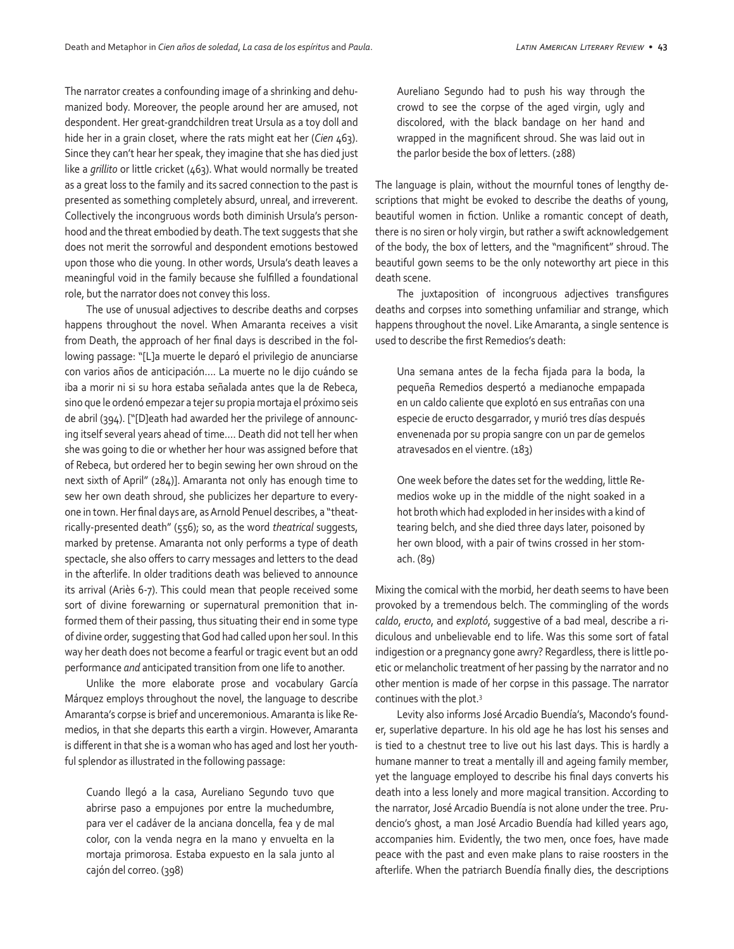The narrator creates a confounding image of a shrinking and dehumanized body. Moreover, the people around her are amused, not despondent. Her great-grandchildren treat Ursula as a toy doll and hide her in a grain closet, where the rats might eat her (*Cien* 463). Since they can't hear her speak, they imagine that she has died just like a *grillito* or little cricket (463). What would normally be treated as a great loss to the family and its sacred connection to the past is presented as something completely absurd, unreal, and irreverent. Collectively the incongruous words both diminish Ursula's personhood and the threat embodied by death. The text suggests that she does not merit the sorrowful and despondent emotions bestowed upon those who die young. In other words, Ursula's death leaves a meaningful void in the family because she fulfilled a foundational role, but the narrator does not convey this loss.

The use of unusual adjectives to describe deaths and corpses happens throughout the novel. When Amaranta receives a visit from Death, the approach of her final days is described in the following passage: "[L]a muerte le deparó el privilegio de anunciarse con varios años de anticipación…. La muerte no le dijo cuándo se iba a morir ni si su hora estaba señalada antes que la de Rebeca, sino que le ordenó empezar a tejer su propia mortaja el próximo seis de abril (394). ["[D]eath had awarded her the privilege of announcing itself several years ahead of time…. Death did not tell her when she was going to die or whether her hour was assigned before that of Rebeca, but ordered her to begin sewing her own shroud on the next sixth of April" (284)]. Amaranta not only has enough time to sew her own death shroud, she publicizes her departure to everyone in town. Her final days are, as Arnold Penuel describes, a "theatrically-presented death" (556); so, as the word *theatrical* suggests, marked by pretense. Amaranta not only performs a type of death spectacle, she also offers to carry messages and letters to the dead in the afterlife. In older traditions death was believed to announce its arrival (Ariès 6-7). This could mean that people received some sort of divine forewarning or supernatural premonition that informed them of their passing, thus situating their end in some type of divine order, suggesting that God had called upon her soul. In this way her death does not become a fearful or tragic event but an odd performance *and* anticipated transition from one life to another.

Unlike the more elaborate prose and vocabulary García Márquez employs throughout the novel, the language to describe Amaranta's corpse is brief and unceremonious. Amaranta is like Remedios, in that she departs this earth a virgin. However, Amaranta is different in that she is a woman who has aged and lost her youthful splendor as illustrated in the following passage:

Cuando llegó a la casa, Aureliano Segundo tuvo que abrirse paso a empujones por entre la muchedumbre, para ver el cadáver de la anciana doncella, fea y de mal color, con la venda negra en la mano y envuelta en la mortaja primorosa. Estaba expuesto en la sala junto al cajón del correo. (398)

Aureliano Segundo had to push his way through the crowd to see the corpse of the aged virgin, ugly and discolored, with the black bandage on her hand and wrapped in the magnificent shroud. She was laid out in the parlor beside the box of letters. (288)

The language is plain, without the mournful tones of lengthy descriptions that might be evoked to describe the deaths of young, beautiful women in fiction. Unlike a romantic concept of death, there is no siren or holy virgin, but rather a swift acknowledgement of the body, the box of letters, and the "magnificent" shroud. The beautiful gown seems to be the only noteworthy art piece in this death scene.

The juxtaposition of incongruous adjectives transfigures deaths and corpses into something unfamiliar and strange, which happens throughout the novel. Like Amaranta, a single sentence is used to describe the first Remedios's death:

Una semana antes de la fecha fijada para la boda, la pequeña Remedios despertó a medianoche empapada en un caldo caliente que explotó en sus entrañas con una especie de eructo desgarrador, y murió tres días después envenenada por su propia sangre con un par de gemelos atravesados en el vientre. (183)

One week before the dates set for the wedding, little Remedios woke up in the middle of the night soaked in a hot broth which had exploded in her insides with a kind of tearing belch, and she died three days later, poisoned by her own blood, with a pair of twins crossed in her stomach. (89)

Mixing the comical with the morbid, her death seems to have been provoked by a tremendous belch. The commingling of the words *caldo*, *eructo*, and *explotó*, suggestive of a bad meal, describe a ridiculous and unbelievable end to life. Was this some sort of fatal indigestion or a pregnancy gone awry? Regardless, there is little poetic or melancholic treatment of her passing by the narrator and no other mention is made of her corpse in this passage. The narrator continues with the plot.3

Levity also informs José Arcadio Buendía's, Macondo's founder, superlative departure. In his old age he has lost his senses and is tied to a chestnut tree to live out his last days. This is hardly a humane manner to treat a mentally ill and ageing family member, yet the language employed to describe his final days converts his death into a less lonely and more magical transition. According to the narrator, José Arcadio Buendía is not alone under the tree. Prudencio's ghost, a man José Arcadio Buendía had killed years ago, accompanies him. Evidently, the two men, once foes, have made peace with the past and even make plans to raise roosters in the afterlife. When the patriarch Buendía finally dies, the descriptions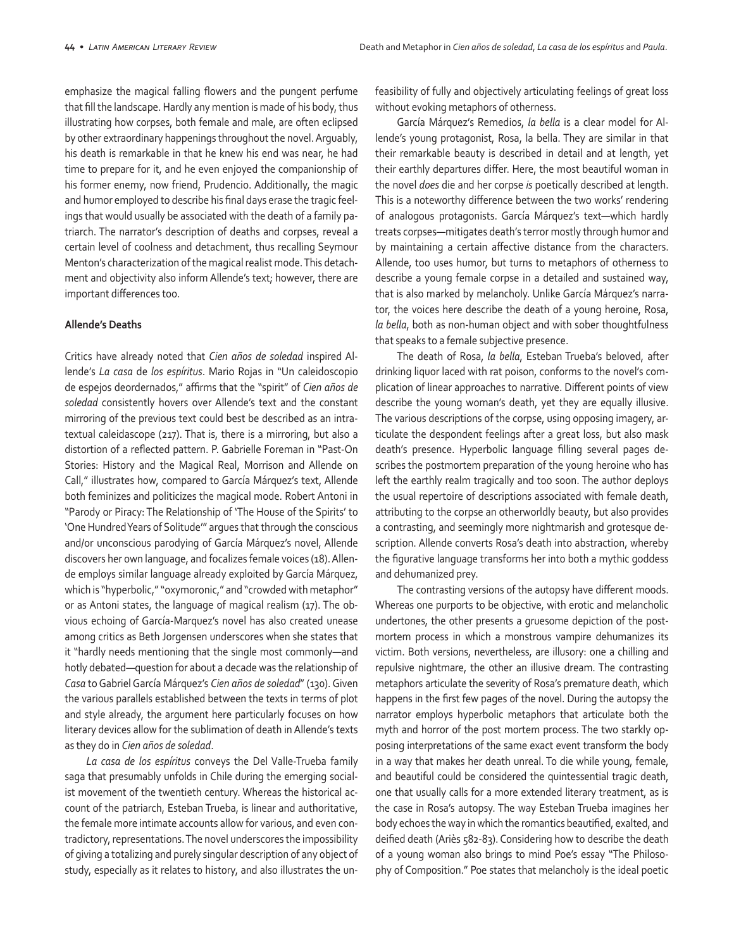emphasize the magical falling flowers and the pungent perfume that fill the landscape. Hardly any mention is made of his body, thus illustrating how corpses, both female and male, are often eclipsed by other extraordinary happenings throughout the novel. Arguably, his death is remarkable in that he knew his end was near, he had time to prepare for it, and he even enjoyed the companionship of his former enemy, now friend, Prudencio. Additionally, the magic and humor employed to describe his final days erase the tragic feelings that would usually be associated with the death of a family patriarch. The narrator's description of deaths and corpses, reveal a certain level of coolness and detachment, thus recalling Seymour Menton's characterization of the magical realist mode. This detachment and objectivity also inform Allende's text; however, there are important differences too.

#### **Allende's Deaths**

Critics have already noted that *Cien años de soledad* inspired Allende's *La casa* de *los espíritus*. Mario Rojas in "Un caleidoscopio de espejos deordernados," affirms that the "spirit" of *Cien años de soledad* consistently hovers over Allende's text and the constant mirroring of the previous text could best be described as an intratextual caleidascope (217). That is, there is a mirroring, but also a distortion of a reflected pattern. P. Gabrielle Foreman in "Past-On Stories: History and the Magical Real, Morrison and Allende on Call," illustrates how, compared to García Márquez's text, Allende both feminizes and politicizes the magical mode. Robert Antoni in "Parody or Piracy: The Relationship of 'The House of the Spirits' to 'One Hundred Years of Solitude'" argues that through the conscious and/or unconscious parodying of García Márquez's novel, Allende discovers her own language, and focalizes female voices (18). Allende employs similar language already exploited by García Márquez, which is "hyperbolic," "oxymoronic," and "crowded with metaphor" or as Antoni states, the language of magical realism (17). The obvious echoing of García-Marquez's novel has also created unease among critics as Beth Jorgensen underscores when she states that it "hardly needs mentioning that the single most commonly—and hotly debated—question for about a decade was the relationship of *Casa* to Gabriel García Márquez's *Cien años de soledad*" (130). Given the various parallels established between the texts in terms of plot and style already, the argument here particularly focuses on how literary devices allow for the sublimation of death in Allende's texts as they do in *Cien años de soledad*.

*La casa de los espíritus* conveys the Del Valle-Trueba family saga that presumably unfolds in Chile during the emerging socialist movement of the twentieth century. Whereas the historical account of the patriarch, Esteban Trueba, is linear and authoritative, the female more intimate accounts allow for various, and even contradictory, representations. The novel underscores the impossibility of giving a totalizing and purely singular description of any object of study, especially as it relates to history, and also illustrates the unfeasibility of fully and objectively articulating feelings of great loss without evoking metaphors of otherness.

García Márquez's Remedios, *la bella* is a clear model for Allende's young protagonist, Rosa, la bella. They are similar in that their remarkable beauty is described in detail and at length, yet their earthly departures differ. Here, the most beautiful woman in the novel *does* die and her corpse *is* poetically described at length. This is a noteworthy difference between the two works' rendering of analogous protagonists. García Márquez's text—which hardly treats corpses—mitigates death's terror mostly through humor and by maintaining a certain affective distance from the characters. Allende, too uses humor, but turns to metaphors of otherness to describe a young female corpse in a detailed and sustained way, that is also marked by melancholy. Unlike García Márquez's narrator, the voices here describe the death of a young heroine, Rosa, *la bella*, both as non-human object and with sober thoughtfulness that speaks to a female subjective presence.

The death of Rosa, *la bella*, Esteban Trueba's beloved, after drinking liquor laced with rat poison, conforms to the novel's complication of linear approaches to narrative. Different points of view describe the young woman's death, yet they are equally illusive. The various descriptions of the corpse, using opposing imagery, articulate the despondent feelings after a great loss, but also mask death's presence. Hyperbolic language filling several pages describes the postmortem preparation of the young heroine who has left the earthly realm tragically and too soon. The author deploys the usual repertoire of descriptions associated with female death, attributing to the corpse an otherworldly beauty, but also provides a contrasting, and seemingly more nightmarish and grotesque description. Allende converts Rosa's death into abstraction, whereby the figurative language transforms her into both a mythic goddess and dehumanized prey.

The contrasting versions of the autopsy have different moods. Whereas one purports to be objective, with erotic and melancholic undertones, the other presents a gruesome depiction of the postmortem process in which a monstrous vampire dehumanizes its victim. Both versions, nevertheless, are illusory: one a chilling and repulsive nightmare, the other an illusive dream. The contrasting metaphors articulate the severity of Rosa's premature death, which happens in the first few pages of the novel. During the autopsy the narrator employs hyperbolic metaphors that articulate both the myth and horror of the post mortem process. The two starkly opposing interpretations of the same exact event transform the body in a way that makes her death unreal. To die while young, female, and beautiful could be considered the quintessential tragic death, one that usually calls for a more extended literary treatment, as is the case in Rosa's autopsy. The way Esteban Trueba imagines her body echoes the way in which the romantics beautified, exalted, and deified death (Ariès 582-83). Considering how to describe the death of a young woman also brings to mind Poe's essay "The Philosophy of Composition." Poe states that melancholy is the ideal poetic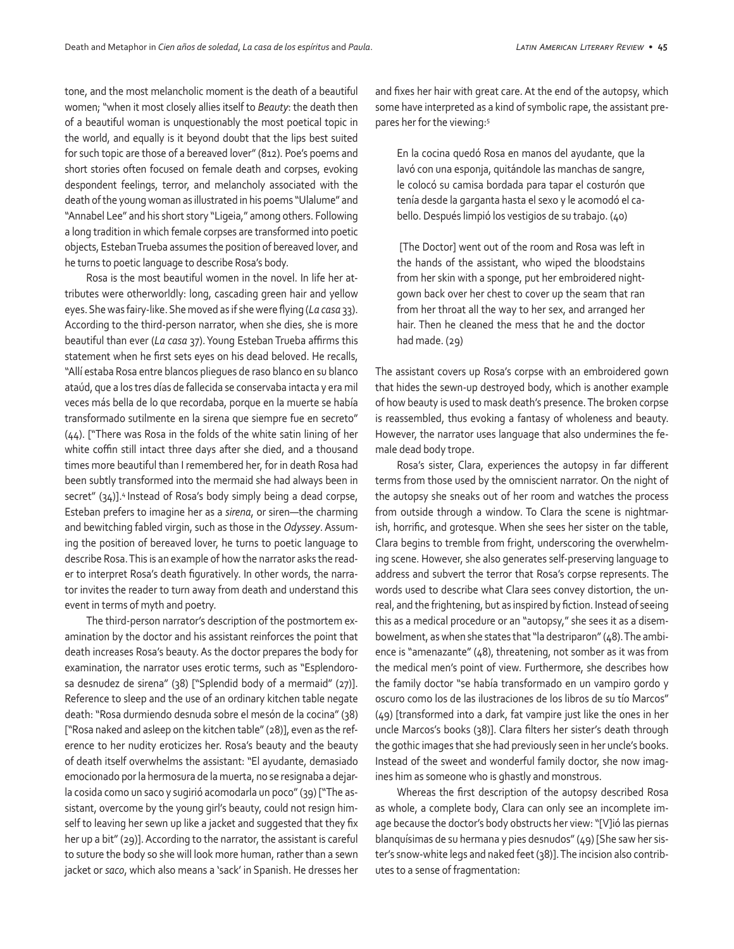tone, and the most melancholic moment is the death of a beautiful women; "when it most closely allies itself to *Beauty*: the death then of a beautiful woman is unquestionably the most poetical topic in the world, and equally is it beyond doubt that the lips best suited for such topic are those of a bereaved lover" (812). Poe's poems and short stories often focused on female death and corpses, evoking despondent feelings, terror, and melancholy associated with the death of the young woman as illustrated in his poems "Ulalume" and "Annabel Lee" and his short story "Ligeia," among others. Following a long tradition in which female corpses are transformed into poetic objects, Esteban Trueba assumes the position of bereaved lover, and he turns to poetic language to describe Rosa's body.

Rosa is the most beautiful women in the novel. In life her attributes were otherworldly: long, cascading green hair and yellow eyes. She was fairy-like. She moved as if she were flying (*La casa* 33). According to the third-person narrator, when she dies, she is more beautiful than ever (*La casa* 37). Young Esteban Trueba affirms this statement when he first sets eyes on his dead beloved. He recalls, "Allí estaba Rosa entre blancos pliegues de raso blanco en su blanco ataúd, que a los tres días de fallecida se conservaba intacta y era mil veces más bella de lo que recordaba, porque en la muerte se había transformado sutilmente en la sirena que siempre fue en secreto" (44). ["There was Rosa in the folds of the white satin lining of her white coffin still intact three days after she died, and a thousand times more beautiful than I remembered her, for in death Rosa had been subtly transformed into the mermaid she had always been in secret" (34)].<sup>4</sup> Instead of Rosa's body simply being a dead corpse, Esteban prefers to imagine her as a *sirena*, or siren—the charming and bewitching fabled virgin, such as those in the *Odyssey*. Assuming the position of bereaved lover, he turns to poetic language to describe Rosa. This is an example of how the narrator asks the reader to interpret Rosa's death figuratively. In other words, the narrator invites the reader to turn away from death and understand this event in terms of myth and poetry.

The third-person narrator's description of the postmortem examination by the doctor and his assistant reinforces the point that death increases Rosa's beauty. As the doctor prepares the body for examination, the narrator uses erotic terms, such as "Esplendorosa desnudez de sirena" (38) ["Splendid body of a mermaid" (27)]. Reference to sleep and the use of an ordinary kitchen table negate death: "Rosa durmiendo desnuda sobre el mesón de la cocina" (38) ["Rosa naked and asleep on the kitchen table" (28)], even as the reference to her nudity eroticizes her. Rosa's beauty and the beauty of death itself overwhelms the assistant: "El ayudante, demasiado emocionado por la hermosura de la muerta, no se resignaba a dejarla cosida como un saco y sugirió acomodarla un poco" (39) ["The assistant, overcome by the young girl's beauty, could not resign himself to leaving her sewn up like a jacket and suggested that they fix her up a bit" (29)]. According to the narrator, the assistant is careful to suture the body so she will look more human, rather than a sewn jacket or *saco*, which also means a 'sack' in Spanish. He dresses her and fixes her hair with great care. At the end of the autopsy, which some have interpreted as a kind of symbolic rape, the assistant prepares her for the viewing:5

En la cocina quedó Rosa en manos del ayudante, que la lavó con una esponja, quitándole las manchas de sangre, le colocó su camisa bordada para tapar el costurón que tenía desde la garganta hasta el sexo y le acomodó el cabello. Después limpió los vestigios de su trabajo. (40)

 [The Doctor] went out of the room and Rosa was left in the hands of the assistant, who wiped the bloodstains from her skin with a sponge, put her embroidered nightgown back over her chest to cover up the seam that ran from her throat all the way to her sex, and arranged her hair. Then he cleaned the mess that he and the doctor had made. (29)

The assistant covers up Rosa's corpse with an embroidered gown that hides the sewn-up destroyed body, which is another example of how beauty is used to mask death's presence. The broken corpse is reassembled, thus evoking a fantasy of wholeness and beauty. However, the narrator uses language that also undermines the female dead body trope.

Rosa's sister, Clara, experiences the autopsy in far different terms from those used by the omniscient narrator. On the night of the autopsy she sneaks out of her room and watches the process from outside through a window. To Clara the scene is nightmarish, horrific, and grotesque. When she sees her sister on the table, Clara begins to tremble from fright, underscoring the overwhelming scene. However, she also generates self-preserving language to address and subvert the terror that Rosa's corpse represents. The words used to describe what Clara sees convey distortion, the unreal, and the frightening, but as inspired by fiction. Instead of seeing this as a medical procedure or an "autopsy," she sees it as a disembowelment, as when she states that "la destriparon" (48). The ambience is "amenazante" (48), threatening, not somber as it was from the medical men's point of view. Furthermore, she describes how the family doctor "se había transformado en un vampiro gordo y oscuro como los de las ilustraciones de los libros de su tío Marcos" (49) [transformed into a dark, fat vampire just like the ones in her uncle Marcos's books (38)]. Clara filters her sister's death through the gothic images that she had previously seen in her uncle's books. Instead of the sweet and wonderful family doctor, she now imagines him as someone who is ghastly and monstrous.

Whereas the first description of the autopsy described Rosa as whole, a complete body, Clara can only see an incomplete image because the doctor's body obstructs her view: "[V]ió las piernas blanquísimas de su hermana y pies desnudos" (49) [She saw her sister's snow-white legs and naked feet (38)]. The incision also contributes to a sense of fragmentation: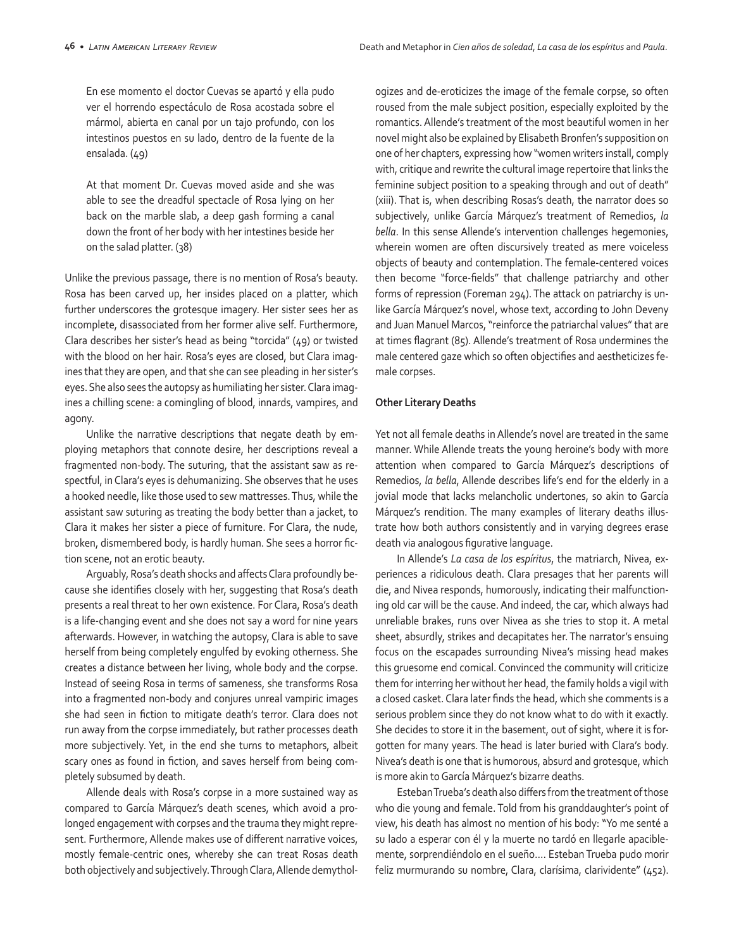En ese momento el doctor Cuevas se apartó y ella pudo ver el horrendo espectáculo de Rosa acostada sobre el mármol, abierta en canal por un tajo profundo, con los intestinos puestos en su lado, dentro de la fuente de la ensalada. (49)

At that moment Dr. Cuevas moved aside and she was able to see the dreadful spectacle of Rosa lying on her back on the marble slab, a deep gash forming a canal down the front of her body with her intestines beside her on the salad platter. (38)

Unlike the previous passage, there is no mention of Rosa's beauty. Rosa has been carved up, her insides placed on a platter, which further underscores the grotesque imagery. Her sister sees her as incomplete, disassociated from her former alive self. Furthermore, Clara describes her sister's head as being "torcida" (49) or twisted with the blood on her hair. Rosa's eyes are closed, but Clara imagines that they are open, and that she can see pleading in her sister's eyes. She also sees the autopsy as humiliating her sister. Clara imagines a chilling scene: a comingling of blood, innards, vampires, and agony.

Unlike the narrative descriptions that negate death by employing metaphors that connote desire, her descriptions reveal a fragmented non-body. The suturing, that the assistant saw as respectful, in Clara's eyes is dehumanizing. She observes that he uses a hooked needle, like those used to sew mattresses. Thus, while the assistant saw suturing as treating the body better than a jacket, to Clara it makes her sister a piece of furniture. For Clara, the nude, broken, dismembered body, is hardly human. She sees a horror fiction scene, not an erotic beauty.

Arguably, Rosa's death shocks and affects Clara profoundly because she identifies closely with her, suggesting that Rosa's death presents a real threat to her own existence. For Clara, Rosa's death is a life-changing event and she does not say a word for nine years afterwards. However, in watching the autopsy, Clara is able to save herself from being completely engulfed by evoking otherness. She creates a distance between her living, whole body and the corpse. Instead of seeing Rosa in terms of sameness, she transforms Rosa into a fragmented non-body and conjures unreal vampiric images she had seen in fiction to mitigate death's terror. Clara does not run away from the corpse immediately, but rather processes death more subjectively. Yet, in the end she turns to metaphors, albeit scary ones as found in fiction, and saves herself from being completely subsumed by death.

Allende deals with Rosa's corpse in a more sustained way as compared to García Márquez's death scenes, which avoid a prolonged engagement with corpses and the trauma they might represent. Furthermore, Allende makes use of different narrative voices, mostly female-centric ones, whereby she can treat Rosas death both objectively and subjectively. Through Clara, Allende demythologizes and de-eroticizes the image of the female corpse, so often roused from the male subject position, especially exploited by the romantics. Allende's treatment of the most beautiful women in her novel might also be explained by Elisabeth Bronfen's supposition on one of her chapters, expressing how "women writers install, comply with, critique and rewrite the cultural image repertoire that links the feminine subject position to a speaking through and out of death" (xiii). That is, when describing Rosas's death, the narrator does so subjectively, unlike García Márquez's treatment of Remedios, *la bella*. In this sense Allende's intervention challenges hegemonies, wherein women are often discursively treated as mere voiceless objects of beauty and contemplation. The female-centered voices then become "force-fields" that challenge patriarchy and other forms of repression (Foreman 294). The attack on patriarchy is unlike García Márquez's novel, whose text, according to John Deveny and Juan Manuel Marcos, "reinforce the patriarchal values" that are at times flagrant (85). Allende's treatment of Rosa undermines the male centered gaze which so often objectifies and aestheticizes female corpses.

#### **Other Literary Deaths**

Yet not all female deaths in Allende's novel are treated in the same manner. While Allende treats the young heroine's body with more attention when compared to García Márquez's descriptions of Remedios, *la bella*, Allende describes life's end for the elderly in a jovial mode that lacks melancholic undertones, so akin to García Márquez's rendition. The many examples of literary deaths illustrate how both authors consistently and in varying degrees erase death via analogous figurative language.

In Allende's *La casa de los espíritus*, the matriarch, Nivea, experiences a ridiculous death. Clara presages that her parents will die, and Nivea responds, humorously, indicating their malfunctioning old car will be the cause. And indeed, the car, which always had unreliable brakes, runs over Nivea as she tries to stop it. A metal sheet, absurdly, strikes and decapitates her. The narrator's ensuing focus on the escapades surrounding Nivea's missing head makes this gruesome end comical. Convinced the community will criticize them for interring her without her head, the family holds a vigil with a closed casket. Clara later finds the head, which she comments is a serious problem since they do not know what to do with it exactly. She decides to store it in the basement, out of sight, where it is forgotten for many years. The head is later buried with Clara's body. Nivea's death is one that is humorous, absurd and grotesque, which is more akin to García Márquez's bizarre deaths.

Esteban Trueba's death also differs from the treatment of those who die young and female. Told from his granddaughter's point of view, his death has almost no mention of his body: "Yo me senté a su lado a esperar con él y la muerte no tardó en llegarle apaciblemente, sorprendiéndolo en el sueño…. Esteban Trueba pudo morir feliz murmurando su nombre, Clara, clarísima, clarividente" (452).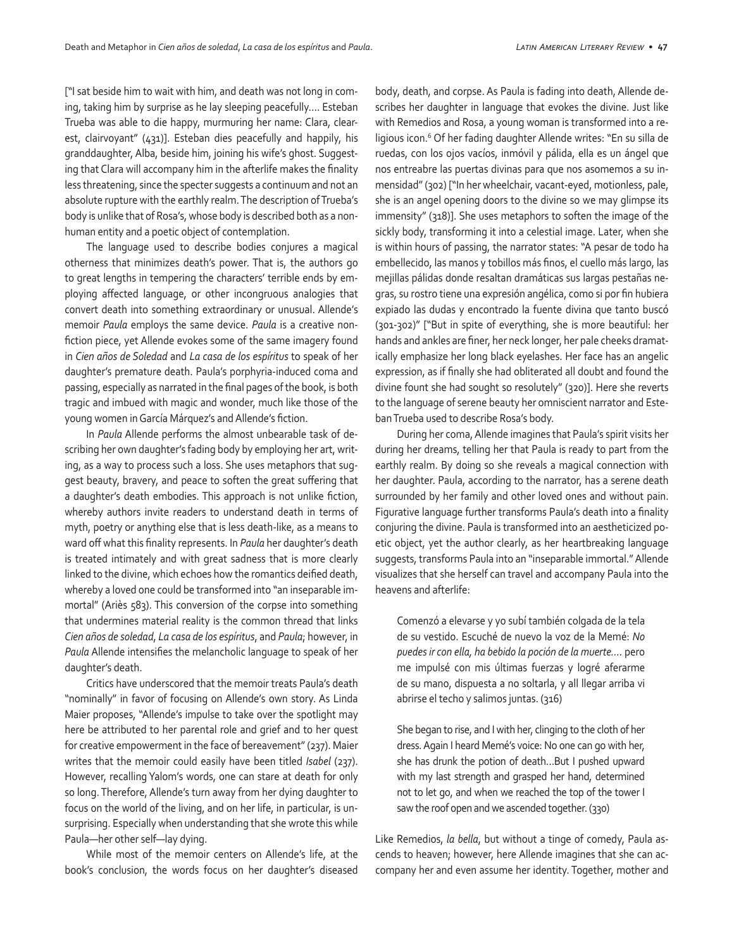["I sat beside him to wait with him, and death was not long in coming, taking him by surprise as he lay sleeping peacefully…. Esteban Trueba was able to die happy, murmuring her name: Clara, clearest, clairvoyant" (431)]. Esteban dies peacefully and happily, his granddaughter, Alba, beside him, joining his wife's ghost. Suggesting that Clara will accompany him in the afterlife makes the finality less threatening, since the specter suggests a continuum and not an absolute rupture with the earthly realm. The description of Trueba's body is unlike that of Rosa's, whose body is described both as a nonhuman entity and a poetic object of contemplation.

The language used to describe bodies conjures a magical otherness that minimizes death's power. That is, the authors go to great lengths in tempering the characters' terrible ends by employing affected language, or other incongruous analogies that convert death into something extraordinary or unusual. Allende's memoir *Paula* employs the same device. *Paula* is a creative nonfiction piece, yet Allende evokes some of the same imagery found in *Cien años de Soledad* and *La casa de los espíritus* to speak of her daughter's premature death. Paula's porphyria-induced coma and passing, especially as narrated in the final pages of the book, is both tragic and imbued with magic and wonder, much like those of the young women in García Márquez's and Allende's fiction.

In *Paula* Allende performs the almost unbearable task of describing her own daughter's fading body by employing her art, writing, as a way to process such a loss. She uses metaphors that suggest beauty, bravery, and peace to soften the great suffering that a daughter's death embodies. This approach is not unlike fiction, whereby authors invite readers to understand death in terms of myth, poetry or anything else that is less death-like, as a means to ward off what this finality represents. In *Paula* her daughter's death is treated intimately and with great sadness that is more clearly linked to the divine, which echoes how the romantics deified death, whereby a loved one could be transformed into "an inseparable immortal" (Ariès 583). This conversion of the corpse into something that undermines material reality is the common thread that links *Cien años de soledad*, *La casa de los espíritus*, and *Paula*; however, in *Paula* Allende intensifies the melancholic language to speak of her daughter's death.

Critics have underscored that the memoir treats Paula's death "nominally" in favor of focusing on Allende's own story. As Linda Maier proposes, "Allende's impulse to take over the spotlight may here be attributed to her parental role and grief and to her quest for creative empowerment in the face of bereavement" (237). Maier writes that the memoir could easily have been titled *Isabel* (237). However, recalling Yalom's words, one can stare at death for only so long. Therefore, Allende's turn away from her dying daughter to focus on the world of the living, and on her life, in particular, is unsurprising. Especially when understanding that she wrote this while Paula—her other self—lay dying.

While most of the memoir centers on Allende's life, at the book's conclusion, the words focus on her daughter's diseased

body, death, and corpse. As Paula is fading into death, Allende describes her daughter in language that evokes the divine. Just like with Remedios and Rosa, a young woman is transformed into a religious icon.<sup>6</sup> Of her fading daughter Allende writes: "En su silla de ruedas, con los ojos vacíos, inmóvil y pálida, ella es un ángel que nos entreabre las puertas divinas para que nos asomemos a su inmensidad" (302) ["In her wheelchair, vacant-eyed, motionless, pale, she is an angel opening doors to the divine so we may glimpse its immensity" (318)]. She uses metaphors to soften the image of the sickly body, transforming it into a celestial image. Later, when she is within hours of passing, the narrator states: "A pesar de todo ha embellecido, las manos y tobillos más finos, el cuello más largo, las mejillas pálidas donde resaltan dramáticas sus largas pestañas negras, su rostro tiene una expresión angélica, como si por fin hubiera expiado las dudas y encontrado la fuente divina que tanto buscó (301-302)" ["But in spite of everything, she is more beautiful: her hands and ankles are finer, her neck longer, her pale cheeks dramatically emphasize her long black eyelashes. Her face has an angelic expression, as if finally she had obliterated all doubt and found the divine fount she had sought so resolutely" (320)]. Here she reverts to the language of serene beauty her omniscient narrator and Esteban Trueba used to describe Rosa's body.

During her coma, Allende imagines that Paula's spirit visits her during her dreams, telling her that Paula is ready to part from the earthly realm. By doing so she reveals a magical connection with her daughter. Paula, according to the narrator, has a serene death surrounded by her family and other loved ones and without pain. Figurative language further transforms Paula's death into a finality conjuring the divine. Paula is transformed into an aestheticized poetic object, yet the author clearly, as her heartbreaking language suggests, transforms Paula into an "inseparable immortal." Allende visualizes that she herself can travel and accompany Paula into the heavens and afterlife:

Comenzó a elevarse y yo subí también colgada de la tela de su vestido. Escuché de nuevo la voz de la Memé: *No puedes ir con ella, ha bebido la poción de la muerte….* pero me impulsé con mis últimas fuerzas y logré aferarme de su mano, dispuesta a no soltarla, y all llegar arriba vi abrirse el techo y salimos juntas. (316)

She began to rise, and I with her, clinging to the cloth of her dress. Again I heard Memé's voice: No one can go with her, she has drunk the potion of death…But I pushed upward with my last strength and grasped her hand, determined not to let go, and when we reached the top of the tower I saw the roof open and we ascended together. (330)

Like Remedios, *la bella*, but without a tinge of comedy, Paula ascends to heaven; however, here Allende imagines that she can accompany her and even assume her identity. Together, mother and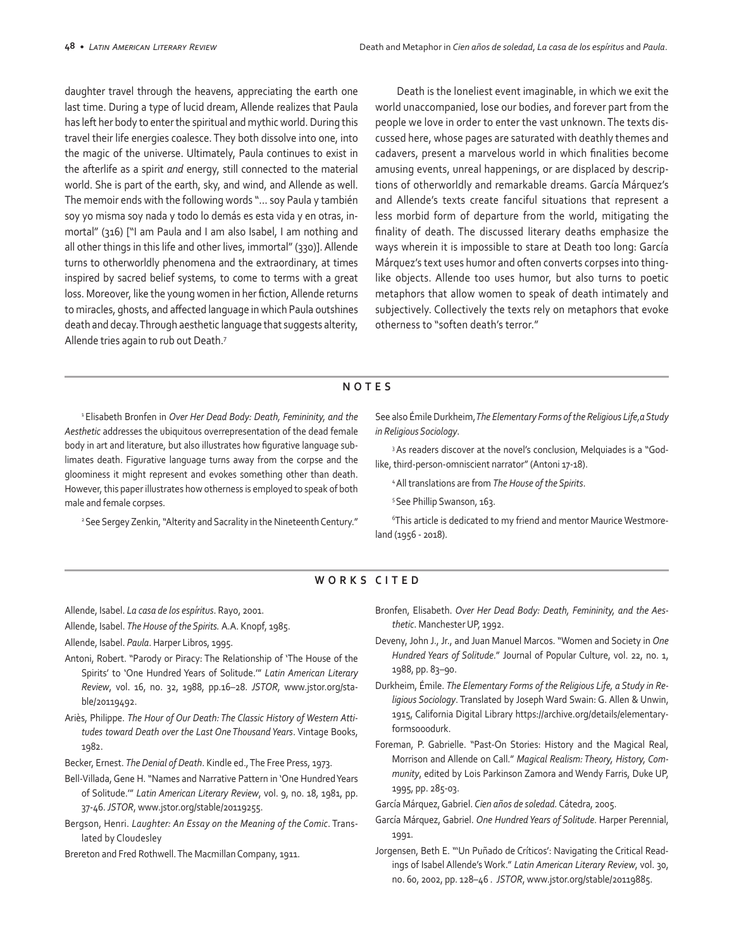daughter travel through the heavens, appreciating the earth one last time. During a type of lucid dream, Allende realizes that Paula has left her body to enter the spiritual and mythic world. During this travel their life energies coalesce. They both dissolve into one, into the magic of the universe. Ultimately, Paula continues to exist in the afterlife as a spirit *and* energy, still connected to the material world. She is part of the earth, sky, and wind, and Allende as well. The memoir ends with the following words "… soy Paula y también soy yo misma soy nada y todo lo demás es esta vida y en otras, inmortal" (316) ["I am Paula and I am also Isabel, I am nothing and all other things in this life and other lives, immortal" (330)]. Allende turns to otherworldly phenomena and the extraordinary, at times inspired by sacred belief systems, to come to terms with a great loss. Moreover, like the young women in her fiction, Allende returns to miracles, ghosts, and affected language in which Paula outshines death and decay. Through aesthetic language that suggests alterity, Allende tries again to rub out Death.7

Death is the loneliest event imaginable, in which we exit the world unaccompanied, lose our bodies, and forever part from the people we love in order to enter the vast unknown. The texts discussed here, whose pages are saturated with deathly themes and cadavers, present a marvelous world in which finalities become amusing events, unreal happenings, or are displaced by descriptions of otherworldly and remarkable dreams. García Márquez's and Allende's texts create fanciful situations that represent a less morbid form of departure from the world, mitigating the finality of death. The discussed literary deaths emphasize the ways wherein it is impossible to stare at Death too long: García Márquez's text uses humor and often converts corpses into thinglike objects. Allende too uses humor, but also turns to poetic metaphors that allow women to speak of death intimately and subjectively. Collectively the texts rely on metaphors that evoke otherness to "soften death's terror."

#### **NOTES**

1 Elisabeth Bronfen in *Over Her Dead Body: Death, Femininity, and the Aesthetic* addresses the ubiquitous overrepresentation of the dead female body in art and literature, but also illustrates how figurative language sublimates death. Figurative language turns away from the corpse and the gloominess it might represent and evokes something other than death. However, this paper illustrates how otherness is employed to speak of both male and female corpses.

<sup>2</sup> See Sergey Zenkin, "Alterity and Sacrality in the Nineteenth Century."

See also Émile Durkheim, *The Elementary Forms of the Religious Life,a Study in Religious Sociology*.

<sup>3</sup> As readers discover at the novel's conclusion, Melquiades is a "Godlike, third-person-omniscient narrator" (Antoni 17-18).

4 All translations are from *The House of the Spirits*.

5 See Phillip Swanson, 163.

6 This article is dedicated to my friend and mentor Maurice Westmoreland (1956 - 2018).

### **WORKS CITED**

Allende, Isabel. *La casa de los espíritus*. Rayo, 2001.

- Allende, Isabel. *The House of the Spirits.* A.A. Knopf, 1985.
- Allende, Isabel. *Paula*. Harper Libros, 1995.
- Antoni, Robert. "Parody or Piracy: The Relationship of 'The House of the Spirits' to 'One Hundred Years of Solitude.'" *Latin American Literary Review*, vol. 16, no. 32, 1988, pp.16–28. *JSTOR*, www.jstor.org/stable/20119492.
- Ariès, Philippe. *The Hour of Our Death: The Classic History of Western Attitudes toward Death over the Last One Thousand Years*. Vintage Books, 1982.
- Becker, Ernest. *The Denial of Death*. Kindle ed., The Free Press, 1973.
- Bell-Villada, Gene H. "Names and Narrative Pattern in 'One Hundred Years of Solitude.'" *Latin American Literary Review*, vol. 9, no. 18, 1981, pp. 37-46. *JSTOR*, www.jstor.org/stable/20119255.
- Bergson, Henri. *Laughter: An Essay on the Meaning of the Comic*. Translated by Cloudesley
- Brereton and Fred Rothwell. The Macmillan Company, 1911.
- Bronfen, Elisabeth. *Over Her Dead Body: Death, Femininity, and the Aesthetic*. Manchester UP, 1992.
- Deveny, John J., Jr., and Juan Manuel Marcos. "Women and Society in *One Hundred Years of Solitude*." Journal of Popular Culture, vol. 22, no. 1, 1988, pp. 83–90.
- Durkheim, Émile. *The Elementary Forms of the Religious Life, a Study in Religious Sociology*. Translated by Joseph Ward Swain: G. Allen & Unwin, 1915, California Digital Library https://archive.org/details/elementaryformso00durk.
- Foreman, P. Gabrielle. "Past-On Stories: History and the Magical Real, Morrison and Allende on Call." *Magical Realism: Theory, History, Community*, edited by Lois Parkinson Zamora and Wendy Farris, Duke UP, 1995, pp. 285-03.
- García Márquez, Gabriel. *Cien años de soledad.* Cátedra, 2005.
- García Márquez, Gabriel. *One Hundred Years of Solitude*. Harper Perennial, 1991.
- Jorgensen, Beth E. "'Un Puñado de Críticos': Navigating the Critical Readings of Isabel Allende's Work." *Latin American Literary Review*, vol. 30, no. 60, 2002, pp. 128–46 . *JSTOR*, www.jstor.org/stable/20119885.